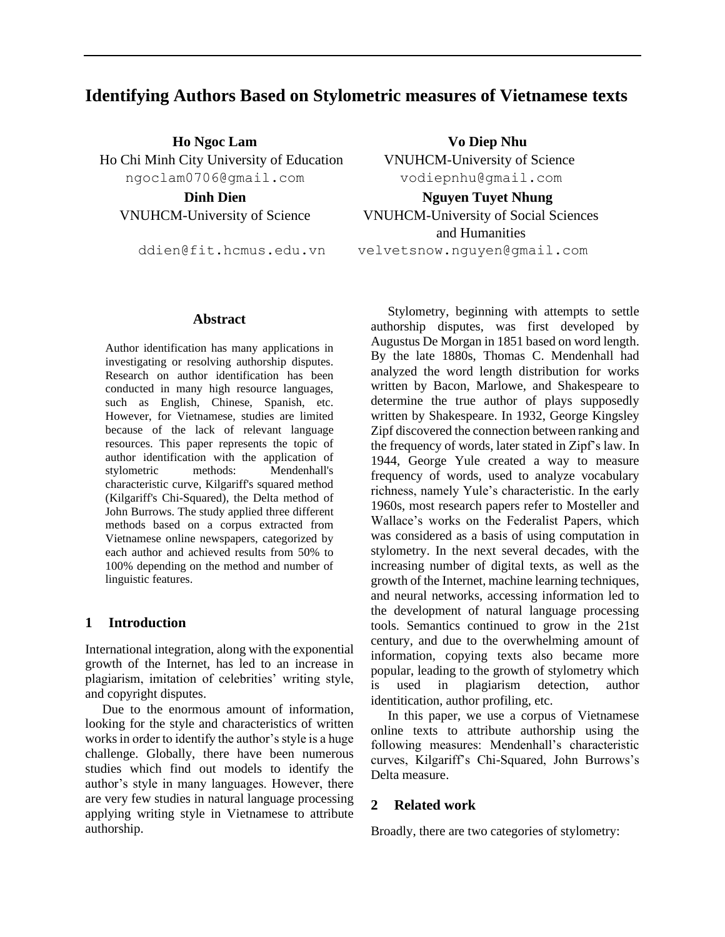# **Identifying Authors Based on Stylometric measures of Vietnamese texts**

**Ho Ngoc Lam Vo Diep Nhu**  Ho Chi Minh City University of Education VNUHCM-University of Science ngoclam0706@gmail.com vodiepnhu@gmail.com

**Abstract**

Author identification has many applications in investigating or resolving authorship disputes. Research on author identification has been conducted in many high resource languages, such as English, Chinese, Spanish, etc. However, for Vietnamese, studies are limited because of the lack of relevant language resources. This paper represents the topic of author identification with the application of stylometric methods: Mendenhall's characteristic curve, Kilgariff's squared method (Kilgariff's Chi-Squared), the Delta method of John Burrows. The study applied three different methods based on a corpus extracted from Vietnamese online newspapers, categorized by each author and achieved results from 50% to 100% depending on the method and number of linguistic features.

# **1 Introduction**

International integration, along with the exponential growth of the Internet, has led to an increase in plagiarism, imitation of celebrities' writing style, and copyright disputes.

Due to the enormous amount of information, looking for the style and characteristics of written works in order to identify the author's style is a huge challenge. Globally, there have been numerous studies which find out models to identify the author's style in many languages. However, there are very few studies in natural language processing applying writing style in Vietnamese to attribute authorship.

**Dinh Dien Nguyen Tuyet Nhung**  VNUHCM-University of Science VNUHCM-University of Social Sciences and Humanities ddien@fit.hcmus.edu.vn velvetsnow.nguyen@gmail.com

> Stylometry, beginning with attempts to settle authorship disputes, was first developed by Augustus De Morgan in 1851 based on word length. By the late 1880s, Thomas C. Mendenhall had analyzed the word length distribution for works written by Bacon, Marlowe, and Shakespeare to determine the true author of plays supposedly written by Shakespeare. In 1932, George Kingsley Zipf discovered the connection between ranking and the frequency of words, later stated in Zipf's law. In 1944, George Yule created a way to measure frequency of words, used to analyze vocabulary richness, namely Yule's characteristic. In the early 1960s, most research papers refer to Mosteller and Wallace's works on the Federalist Papers, which was considered as a basis of using computation in stylometry. In the next several decades, with the increasing number of digital texts, as well as the growth of the Internet, machine learning techniques, and neural networks, accessing information led to the development of natural language processing tools. Semantics continued to grow in the 21st century, and due to the overwhelming amount of information, copying texts also became more popular, leading to the growth of stylometry which is used in plagiarism detection, author identitication, author profiling, etc.

> In this paper, we use a corpus of Vietnamese online texts to attribute authorship using the following measures: Mendenhall's characteristic curves, Kilgariff's Chi-Squared, John Burrows's Delta measure.

# **2 Related work**

Broadly, there are two categories of stylometry: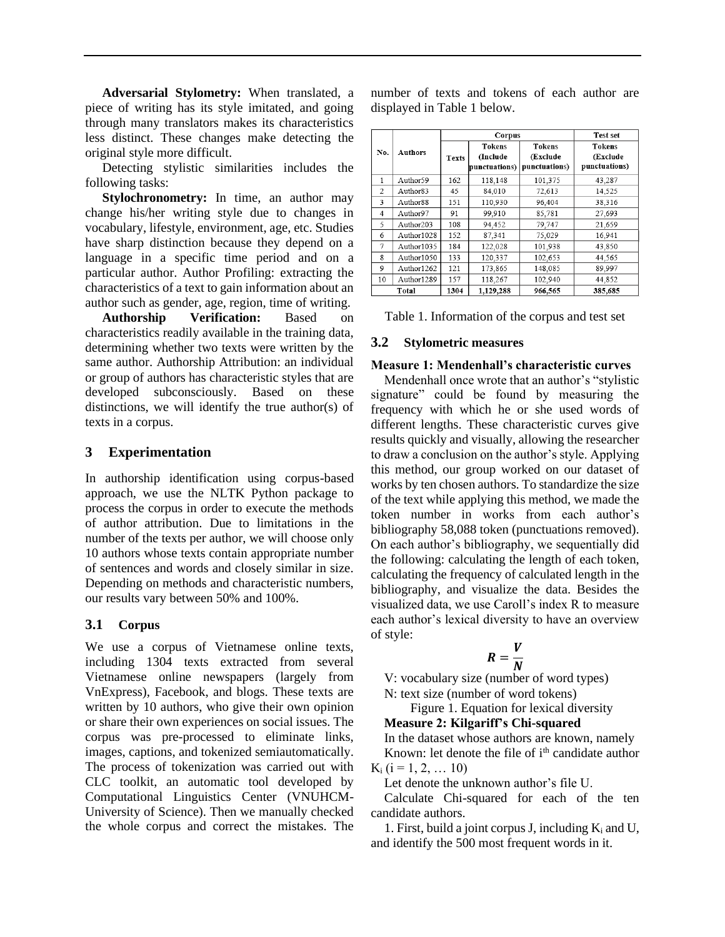**Adversarial Stylometry:** When translated, a piece of writing has its style imitated, and going through many translators makes its characteristics less distinct. These changes make detecting the original style more difficult.

Detecting stylistic similarities includes the following tasks:

**Stylochronometry:** In time, an author may change his/her writing style due to changes in vocabulary, lifestyle, environment, age, etc. Studies have sharp distinction because they depend on a language in a specific time period and on a particular author. Author Profiling: extracting the characteristics of a text to gain information about an author such as gender, age, region, time of writing.

**Authorship Verification:** Based on characteristics readily available in the training data, determining whether two texts were written by the same author. Authorship Attribution: an individual or group of authors has characteristic styles that are developed subconsciously. Based on these distinctions, we will identify the true author(s) of texts in a corpus.

# **3 Experimentation**

In authorship identification using corpus-based approach, we use the NLTK Python package to process the corpus in order to execute the methods of author attribution. Due to limitations in the number of the texts per author, we will choose only 10 authors whose texts contain appropriate number of sentences and words and closely similar in size. Depending on methods and characteristic numbers, our results vary between 50% and 100%.

# **3.1 Corpus**

We use a corpus of Vietnamese online texts, including 1304 texts extracted from several Vietnamese online newspapers (largely from VnExpress), Facebook, and blogs. These texts are written by 10 authors, who give their own opinion or share their own experiences on social issues. The corpus was pre-processed to eliminate links, images, captions, and tokenized semiautomatically. The process of tokenization was carried out with CLC toolkit, an automatic tool developed by Computational Linguistics Center (VNUHCM-University of Science). Then we manually checked the whole corpus and correct the mistakes. The number of texts and tokens of each author are displayed in Table 1 below.

|                |                      |              | Corpus                              | Test set                                   |                                            |  |
|----------------|----------------------|--------------|-------------------------------------|--------------------------------------------|--------------------------------------------|--|
| No.            | <b>Authors</b>       | <b>Texts</b> | Tokens<br>(Include<br>punctuations) | <b>Tokens</b><br>(Exclude<br>punctuations) | <b>Tokens</b><br>(Exclude<br>punctuations) |  |
| $\mathbf{1}$   | Author59             | 162          | 118,148                             | 101,375                                    | 43,287                                     |  |
| 2              | Author <sub>83</sub> | 45           | 84,010                              | 72,613                                     | 14,525                                     |  |
| 3              | Author88             | 151          | 110,930                             | 96,404                                     | 38,316                                     |  |
| $\overline{4}$ | Author97             | 91           | 99.910                              | 85,781                                     | 27.693                                     |  |
| 5              | Author203            | 108          | 94,452                              | 79,747                                     | 21,659                                     |  |
| 6              | Author1028           | 152          | 87.341                              | 75,029                                     | 16,941                                     |  |
| 7              | Author1035           | 184          | 122,028                             | 101,938                                    | 43,850                                     |  |
| 8              | Author1050           | 133          | 120,337                             | 102,653                                    | 44,565                                     |  |
| 9              | Author1262           | 121          | 173,865                             | 148,085                                    | 89,997                                     |  |
| 10             | Author1289           | 157          | 118,267                             | 102,940                                    | 44.852                                     |  |
|                | Total                | 1304         | 1,129,288                           | 966,565                                    | 385,685                                    |  |

Table 1. Information of the corpus and test set

### **3.2 Stylometric measures**

### **Measure 1: Mendenhall's characteristic curves**

Mendenhall once wrote that an author's "stylistic signature" could be found by measuring the frequency with which he or she used words of different lengths. These characteristic curves give results quickly and visually, allowing the researcher to draw a conclusion on the author's style. Applying this method, our group worked on our dataset of works by ten chosen authors. To standardize the size of the text while applying this method, we made the token number in works from each author's bibliography 58,088 token (punctuations removed). On each author's bibliography, we sequentially did the following: calculating the length of each token, calculating the frequency of calculated length in the bibliography, and visualize the data. Besides the visualized data, we use Caroll's index R to measure each author's lexical diversity to have an overview of style:

$$
R=\frac{V}{N}
$$

V: vocabulary size (number of word types)

N: text size (number of word tokens)

Figure 1. Equation for lexical diversity

**Measure 2: Kilgariff's Chi-squared** 

In the dataset whose authors are known, namely Known: let denote the file of i<sup>th</sup> candidate author  $K_i$  ( $i = 1, 2, ... 10$ )

Let denote the unknown author's file U.

Calculate Chi-squared for each of the ten candidate authors.

1. First, build a joint corpus J, including  $K_i$  and U, and identify the 500 most frequent words in it.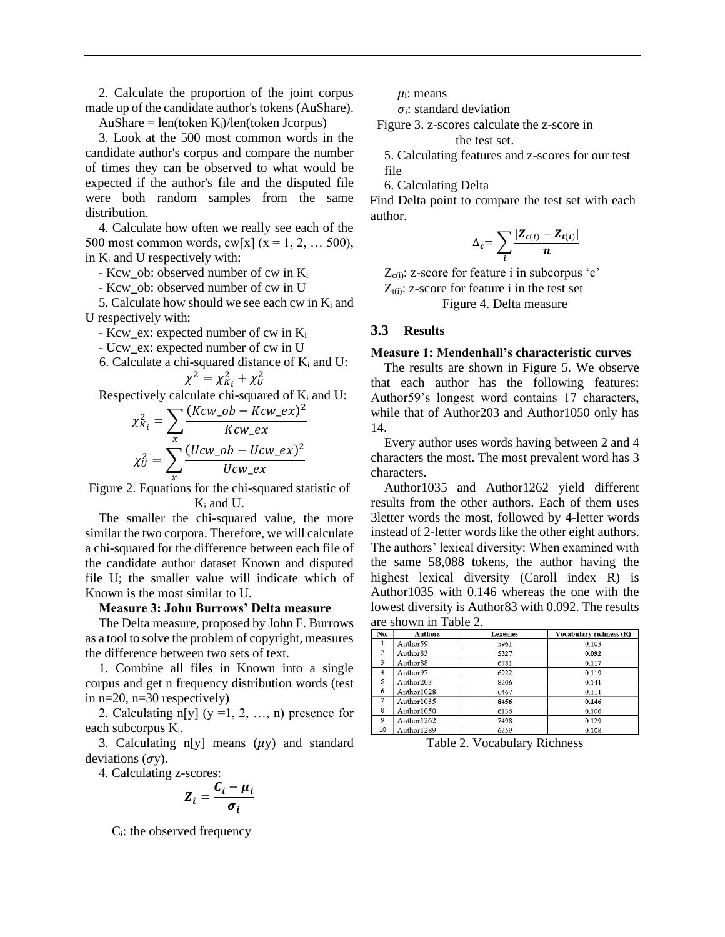2. Calculate the proportion of the joint corpus made up of the candidate author's tokens (AuShare).

 $AuShare = len(token K<sub>i</sub>)/len(token Jcorpus)$ 

3. Look at the 500 most common words in the candidate author's corpus and compare the number of times they can be observed to what would be expected if the author's file and the disputed file were both random samples from the same distribution.

4. Calculate how often we really see each of the 500 most common words,  $cw[x]$  ( $x = 1, 2, ... 500$ ), in  $K_i$  and U respectively with:

- Kcw ob: observed number of cw in  $K_i$ 

- Kcw\_ob: observed number of cw in U

5. Calculate how should we see each cw in  $K_i$  and U respectively with:

- Kcw\_ex: expected number of cw in  $K_i$ 

- Ucw\_ex: expected number of cw in U

6. Calculate a chi-squared distance of K<sub>i</sub> and U:  

$$
\chi^2 = \chi_{K_i}^2 + \chi_{U}^2
$$

Respectively calculate chi-squared of  $K_i$  and U:

$$
\chi_{K_i}^2 = \sum_{x} \frac{(Kcw\_ob - Kcw\_ex)^2}{Kcw\_ex}
$$

$$
\chi_U^2 = \sum_{x} \frac{(Ucw\_ob - Ucw\_ex)^2}{Ucw\_ex}
$$

Figure 2. Equations for the chi-squared statistic of K<sup>i</sup> and U.

The smaller the chi-squared value, the more similar the two corpora. Therefore, we will calculate a chi-squared for the difference between each file of the candidate author dataset Known and disputed file U; the smaller value will indicate which of Known is the most similar to U.

#### **Measure 3: John Burrows' Delta measure**

The Delta measure, proposed by John F. Burrows as a tool to solve the problem of copyright, measures the difference between two sets of text.

1. Combine all files in Known into a single corpus and get n frequency distribution words (test in n=20, n=30 respectively)

2. Calculating n[y]  $(y = 1, 2, ..., n)$  presence for each subcorpus Ki.

3. Calculating  $n[y]$  means  $(\mu y)$  and standard deviations  $(\sigma y)$ .

4. Calculating z-scores:

$$
Z_i = \frac{C_i - \mu_i}{\sigma_i}
$$

Ci: the observed frequency

 $\mu_i$ : means

 $\sigma_i$ : standard deviation

Figure 3. z-scores calculate the z-score in the test set.

5. Calculating features and z-scores for our test file

6. Calculating Delta

Find Delta point to compare the test set with each author.

$$
\Delta_c = \sum_i \frac{|Z_{c(i)} - Z_{t(i)}|}{n}
$$

 $Z_{c(i)}$ : z-score for feature i in subcorpus 'c'  $Z_{t(i)}$ : z-score for feature i in the test set Figure 4. Delta measure

### **3.3 Results**

#### **Measure 1: Mendenhall's characteristic curves**

The results are shown in Figure 5. We observe that each author has the following features: Author59's longest word contains 17 characters, while that of Author203 and Author1050 only has 14.

Every author uses words having between 2 and 4 characters the most. The most prevalent word has 3 characters.

Author1035 and Author1262 yield different results from the other authors. Each of them uses 3letter words the most, followed by 4-letter words instead of 2-letter words like the other eight authors. The authors' lexical diversity: When examined with the same 58,088 tokens, the author having the highest lexical diversity (Caroll index R) is Author1035 with 0.146 whereas the one with the lowest diversity is Author83 with 0.092. The results are shown in Table 2.

| No.                     | <b>Authors</b>        | <b>Lexemes</b> | Vocabulary richness (R) |
|-------------------------|-----------------------|----------------|-------------------------|
|                         | Author59              | 5961           | 0.103                   |
| 2                       | Author <sub>83</sub>  | 5327           | 0.092                   |
| $\overline{\mathbf{3}}$ | Author <sub>88</sub>  | 6781           | 0.117                   |
| $\overline{4}$          | Author97              | 6922           | 0.119                   |
| 5                       | Author <sub>203</sub> | 8206           | 0.141                   |
| 6                       | Author1028            | 6467           | 0.111                   |
| $\overline{7}$          | Author1035            | 8456           | 0.146                   |
| 8                       | Author1050            | 6136           | 0.106                   |
| 9                       | Author1262            | 7498           | 0.129                   |
| 10                      | $A$ uthor $1289$      | 6259           | 0.108                   |

Table 2. Vocabulary Richness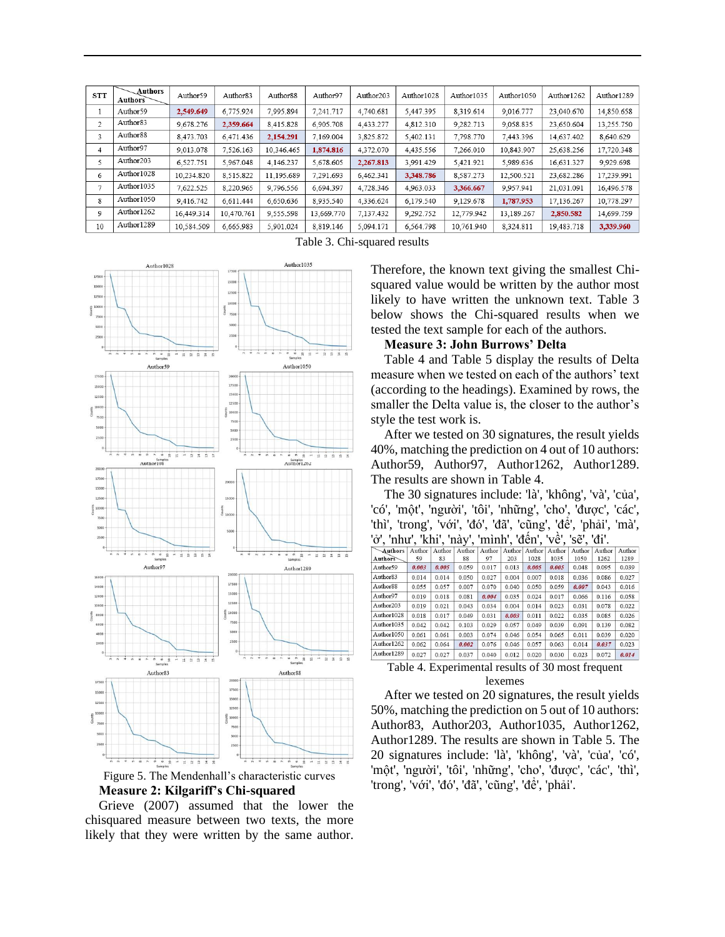| <b>STT</b>     | Authors<br><b>Authors</b> | Author59   | Author <sub>83</sub> | Author <sub>88</sub> | Author97   | Author <sub>203</sub> | Author1028 | Author1035 | Author1050 | Author1262 | Author1289 |
|----------------|---------------------------|------------|----------------------|----------------------|------------|-----------------------|------------|------------|------------|------------|------------|
|                | Author59                  | 2,549.649  | 6,775.924            | 7,995.894            | 7,241.717  | 4,740.681             | 5,447.395  | 8,319.614  | 9,016.777  | 23,040.670 | 14,850.658 |
| 2              | Author83                  | 9,678.276  | 2.359.664            | 8,415.828            | 6.905.708  | 4.433.277             | 4,812.310  | 9.282.713  | 9.058.835  | 23.650.604 | 13.255.750 |
| 3              | Author <sub>88</sub>      | 8.473.703  | 6.471.436            | 2,154.291            | 7.169.004  | 3,825.872             | 5,402.131  | 7,798.770  | 7,443.396  | 14,637.402 | 8,640.629  |
| 4              | Author97                  | 9,013.078  | 7,526.163            | 10.346.465           | 1,874.816  | 4,372.070             | 4,435.556  | 7,266.010  | 10,843.907 | 25,638.256 | 17,720.348 |
| 5              | Author203                 | 6.527.751  | 5.967.048            | 4.146.237            | 5.678.605  | 2.267.813             | 3.991.429  | 5,421.921  | 5.989.636  | 16.631.327 | 9.929.698  |
| 6              | Author1028                | 10.234.820 | 8,515.822            | 11.195.689           | 7.291.693  | 6,462.341             | 3.348.786  | 8,587.273  | 12,500.521 | 23,682.286 | 17,239.991 |
| $\overline{7}$ | Author1035                | 7.622.525  | 8.220.965            | 9,796.556            | 6.694.397  | 4,728.346             | 4,963.033  | 3,366.667  | 9.957.941  | 21,031.091 | 16,496.578 |
| 8              | Author1050                | 9.416.742  | 6.611.444            | 6.650.636            | 8.935.540  | 4.336.624             | 6.179.540  | 9.129.678  | 1,787.953  | 17.136.267 | 10.778.297 |
| 9              | Author1262                | 16.449.314 | 10.470.761           | 9,555.598            | 13.669.770 | 7,137.432             | 9,292.752  | 12,779.942 | 13,189.267 | 2,850.582  | 14.699.759 |
| 10             | Author1289                | 10.584.509 | 6.665.983            | 5.901.024            | 8.819.146  | 5.094.171             | 6,564.798  | 10.761.940 | 8.324.811  | 19,483.718 | 3,339.960  |

Table 3. Chi-squared results



Figure 5. The Mendenhall's characteristic curves **Measure 2: Kilgariff's Chi-squared** 



Therefore, the known text giving the smallest Chisquared value would be written by the author most likely to have written the unknown text. Table 3 below shows the Chi-squared results when we tested the text sample for each of the authors.

# **Measure 3: John Burrows' Delta**

Table 4 and Table 5 display the results of Delta measure when we tested on each of the authors' text (according to the headings). Examined by rows, the smaller the Delta value is, the closer to the author's style the test work is.

After we tested on 30 signatures, the result yields 40%, matching the prediction on 4 out of 10 authors: Author59, Author97, Author1262, Author1289. The results are shown in Table 4.

The 30 signatures include: 'là', 'không', 'và', 'của', 'có', 'một', 'người', 'tôi', 'những', 'cho', 'được', 'các', 'thì', 'trong', 'với', 'đó', 'đã', 'cũng', 'để', 'phải', 'mà', 'ở', 'như', 'khi', 'này', 'mình', 'đến', 'về', 'sẽ', 'đi'.

| Authors               | Author | Author | Author | Author | Author | Author | Author | Author | Author | Author |
|-----------------------|--------|--------|--------|--------|--------|--------|--------|--------|--------|--------|
| Authors               | 59     | 83     | 88     | 97     | 203    | 1028   | 1035   | 1050   | 1262   | 1289   |
| Author59              | 0.003  | 0.005  | 0.059  | 0.017  | 0.013  | 0.005  | 0.005  | 0.048  | 0.095  | 0.039  |
| Author <sub>83</sub>  | 0.014  | 0.014  | 0.050  | 0.027  | 0.004  | 0.007  | 0.018  | 0.036  | 0.086  | 0.027  |
| Author <sub>88</sub>  | 0.055  | 0.057  | 0.007  | 0.070  | 0.040  | 0.050  | 0.059  | 0.007  | 0.043  | 0.016  |
| Author97              | 0.019  | 0.018  | 0.081  | 0.004  | 0.035  | 0.024  | 0.017  | 0.066  | 0.116  | 0.058  |
| Author <sub>203</sub> | 0.019  | 0.021  | 0.043  | 0.034  | 0.004  | 0.014  | 0.023  | 0.031  | 0.078  | 0.022  |
| Author1028            | 0.018  | 0.017  | 0.049  | 0.031  | 0.003  | 0.011  | 0.022  | 0.035  | 0.085  | 0.026  |
| Author1035            | 0.042  | 0.042  | 0.103  | 0.029  | 0.057  | 0.049  | 0.039  | 0.091  | 0.139  | 0.082  |
| Author1050            | 0.061  | 0.061  | 0.003  | 0.074  | 0.046  | 0.054  | 0.065  | 0.011  | 0.039  | 0.020  |
| Author1262            | 0.062  | 0.064  | 0.002  | 0.076  | 0.046  | 0.057  | 0.063  | 0.014  | 0.037  | 0.023  |
| Author1289            | 0.027  | 0.027  | 0.037  | 0.040  | 0.012  | 0.020  | 0.030  | 0.023  | 0.072  | 0.014  |

Table 4. Experimental results of 30 most frequent lexemes

After we tested on 20 signatures, the result yields 50%, matching the prediction on 5 out of 10 authors: Author83, Author203, Author1035, Author1262, Author1289. The results are shown in Table 5. The 20 signatures include: 'là', 'không', 'và', 'của', 'có', 'một', 'người', 'tôi', 'những', 'cho', 'được', 'các', 'thì', 'trong', 'với', 'đó', 'đã', 'cũng', 'để', 'phải'.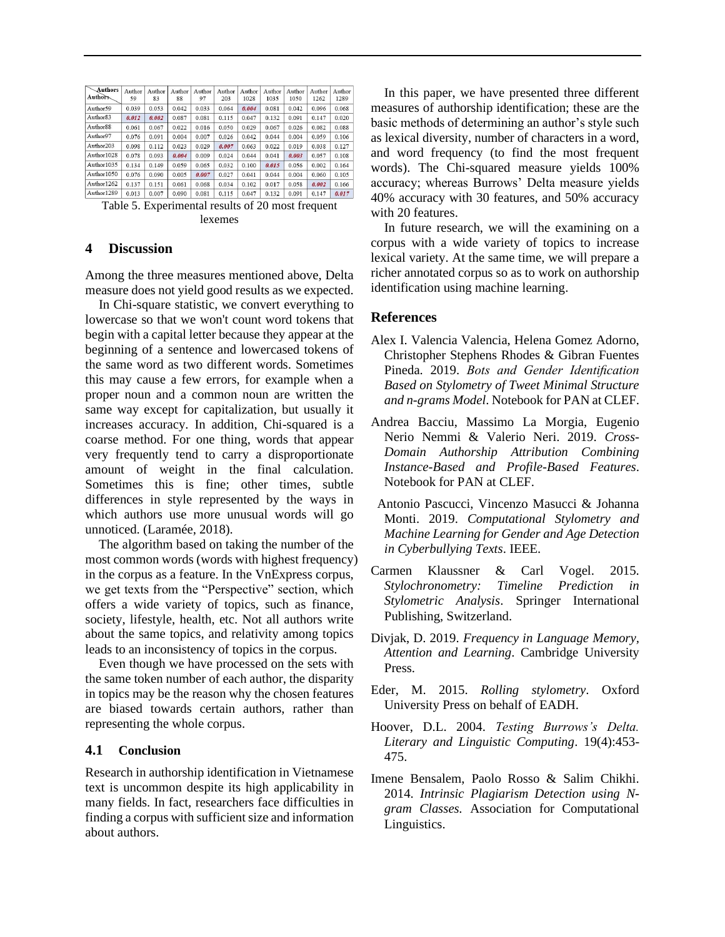| Author<br>59 | Author<br>83 | Author<br>88 | Author<br>97 | Author<br>203 | Author<br>1028 | Author<br>1035 | Author<br>1050 | Author<br>1262 | Author<br>1289 |
|--------------|--------------|--------------|--------------|---------------|----------------|----------------|----------------|----------------|----------------|
| 0.039        | 0.053        | 0.042        | 0.033        | 0.064         | 0.004          | 0.081          | 0.042          | 0.096          | 0.068          |
| 0.012        | 0.002        | 0.087        | 0.081        | 0.115         | 0.047          | 0.132          | 0.091          | 0.147          | 0.020          |
| 0.061        | 0.067        | 0.022        | 0.016        | 0.050         | 0.029          | 0.067          | 0.026          | 0.082          | 0.088          |
| 0.076        | 0.091        | 0.004        | 0.007        | 0.026         | 0.042          | 0.044          | 0.004          | 0.059          | 0.106          |
| 0.098        | 0.112        | 0.023        | 0.029        | 0.007         | 0.063          | 0.022          | 0.019          | 0.038          | 0.127          |
| 0.078        | 0.093        | 0.004        | 0.009        | 0.024         | 0.044          | 0.041          | 0.003          | 0.057          | 0.108          |
| 0.134        | 0.149        | 0.059        | 0.065        | 0.032         | 0.100          | 0.015          | 0.056          | 0.002          | 0.164          |
| 0.076        | 0.090        | 0.005        | 0.007        | 0.027         | 0.041          | 0.044          | 0.004          | 0.060          | 0.105          |
| 0.137        | 0.151        | 0.061        | 0.068        | 0.034         | 0.102          | 0.017          | 0.058          | 0.002          | 0.166          |
| 0.013        | 0.007        | 0.090        | 0.081        | 0.115         | 0.047          | 0.132          | 0.091          | 0.147          | 0.017          |
|              |              |              |              |               |                |                |                |                |                |

Table 5. Experimental results of 20 most frequent lexemes

#### **4 Discussion**

Among the three measures mentioned above, Delta measure does not yield good results as we expected.

In Chi-square statistic, we convert everything to lowercase so that we won't count word tokens that begin with a capital letter because they appear at the beginning of a sentence and lowercased tokens of the same word as two different words. Sometimes this may cause a few errors, for example when a proper noun and a common noun are written the same way except for capitalization, but usually it increases accuracy. In addition, Chi-squared is a coarse method. For one thing, words that appear very frequently tend to carry a disproportionate amount of weight in the final calculation. Sometimes this is fine; other times, subtle differences in style represented by the ways in which authors use more unusual words will go unnoticed. (Laramée, 2018).

The algorithm based on taking the number of the most common words (words with highest frequency) in the corpus as a feature. In the VnExpress corpus, we get texts from the "Perspective" section, which offers a wide variety of topics, such as finance, society, lifestyle, health, etc. Not all authors write about the same topics, and relativity among topics leads to an inconsistency of topics in the corpus.

Even though we have processed on the sets with the same token number of each author, the disparity in topics may be the reason why the chosen features are biased towards certain authors, rather than representing the whole corpus.

### **4.1 Conclusion**

Research in authorship identification in Vietnamese text is uncommon despite its high applicability in many fields. In fact, researchers face difficulties in finding a corpus with sufficient size and information about authors.

In this paper, we have presented three different measures of authorship identification; these are the basic methods of determining an author's style such as lexical diversity, number of characters in a word, and word frequency (to find the most frequent words). The Chi-squared measure yields 100% accuracy; whereas Burrows' Delta measure yields 40% accuracy with 30 features, and 50% accuracy with 20 features.

In future research, we will the examining on a corpus with a wide variety of topics to increase lexical variety. At the same time, we will prepare a richer annotated corpus so as to work on authorship identification using machine learning.

#### **References**

- Alex I. Valencia Valencia, Helena Gomez Adorno, Christopher Stephens Rhodes & Gibran Fuentes Pineda. 2019. *Bots and Gender Identification Based on Stylometry of Tweet Minimal Structure and n-grams Model*. Notebook for PAN at CLEF.
- Andrea Bacciu, Massimo La Morgia, Eugenio Nerio Nemmi & Valerio Neri. 2019. *Cross-Domain Authorship Attribution Combining Instance-Based and Profile-Based Features*. Notebook for PAN at CLEF.
- Antonio Pascucci, Vincenzo Masucci & Johanna Monti. 2019. *Computational Stylometry and Machine Learning for Gender and Age Detection in Cyberbullying Texts*. IEEE.
- Carmen Klaussner & Carl Vogel. 2015. *Stylochronometry: Timeline Prediction in Stylometric Analysis*. Springer International Publishing, Switzerland.
- Divjak, D. 2019. *Frequency in Language Memory, Attention and Learning*. Cambridge University Press.
- Eder, M. 2015. *Rolling stylometry*. Oxford University Press on behalf of EADH.
- Hoover, D.L. 2004. *Testing Burrows's Delta. Literary and Linguistic Computing*. 19(4):453- 475.
- Imene Bensalem, Paolo Rosso & Salim Chikhi. 2014. *Intrinsic Plagiarism Detection using Ngram Classes.* Association for Computational Linguistics.